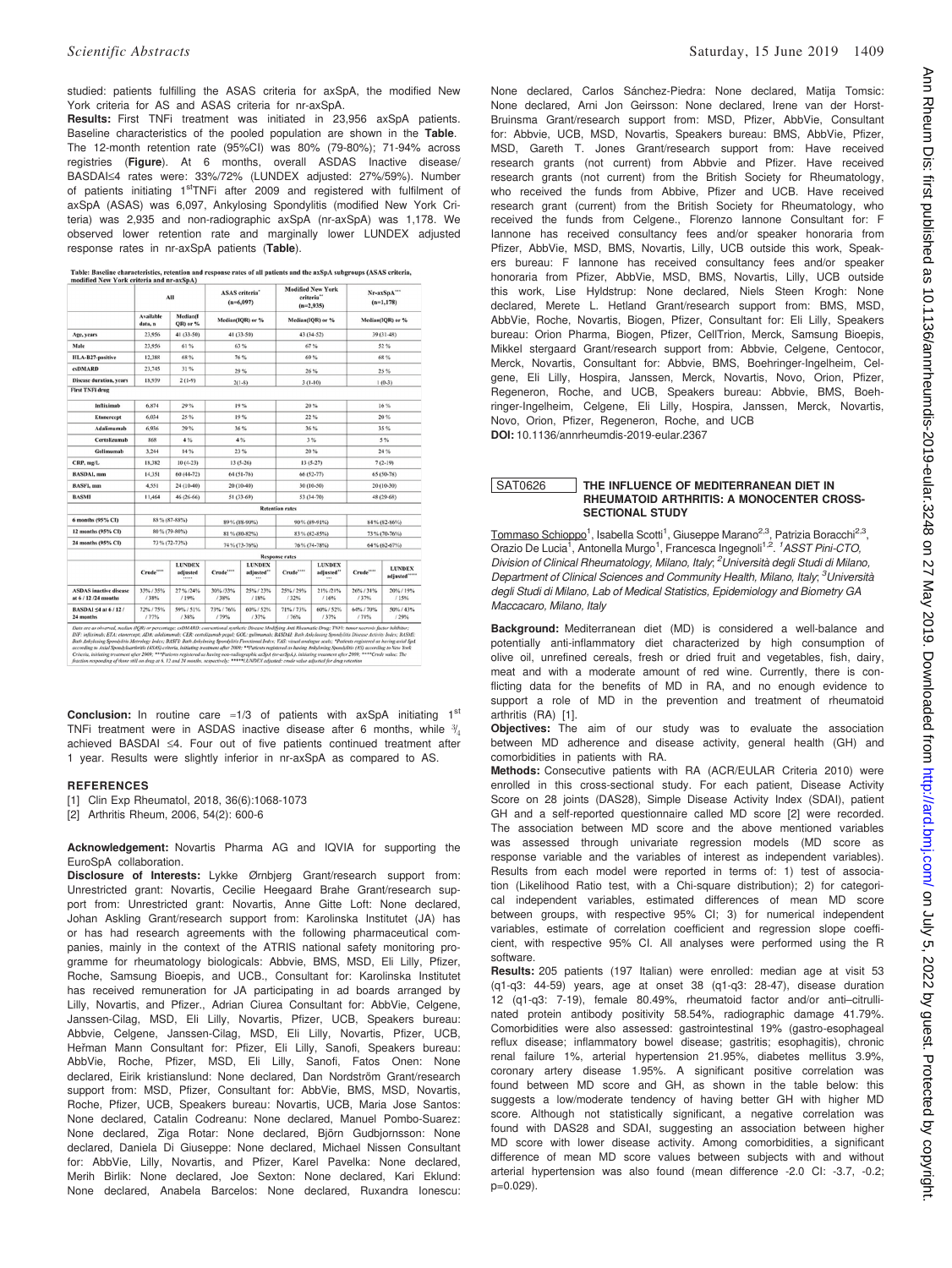studied: patients fulfilling the ASAS criteria for axSpA, the modified New York criteria for AS and ASAS criteria for nr-axSpA.

Results: First TNFi treatment was initiated in 23,956 axSpA patients. Baseline characteristics of the pooled population are shown in the Table. The 12-month retention rate (95%CI) was 80% (79-80%); 71-94% across registries (Figure). At 6 months, overall ASDAS inactive disease/<br>BASDAI≤4 rates were: 33%/72% (LUNDEX adjusted: 27%/59%). Number BASDAl≤4 rates were: 33%/72% (LUNDEX adjusted: 27%/59%). Number<br>of patients initiating 1<sup>st</sup>TNFi after 2009 and registered with fulfilment of axSpA (ASAS) was 6,097, Ankylosing Spondylitis (modified New York Criteria) was 2,935 and non-radiographic axSpA (nr-axSpA) was 1,178. We observed lower retention rate and marginally lower LUNDEX adjusted response rates in nr-axSpA patients (Table).

|                                                       | All                   |                               | лэлэ спепа<br>$(n=6,097)$    |                            | criteria"<br>$(n=2.935)$ |                            | гахэрл<br>$(n=1,178)$ |                               |
|-------------------------------------------------------|-----------------------|-------------------------------|------------------------------|----------------------------|--------------------------|----------------------------|-----------------------|-------------------------------|
|                                                       | Available<br>data, n  | <b>Median(I</b><br>OR) or %   |                              | Median(IQR) or %           | Median(IQR) or %         |                            |                       | Median(IQR) or %              |
| Age, years                                            | 23,956                | 41 (33-50)                    | 41 (33-50)                   |                            | 43 (34-52)               |                            | $39(31-48)$           |                               |
| Male                                                  | 23,956                | 61%                           |                              | 63%                        |                          | 67%                        | 52%                   |                               |
| HLA-B27-positive                                      | 12.388                | 68%                           |                              | 76%                        |                          | 69%                        | 68%                   |                               |
| <b>csDMARD</b>                                        | 23,745                | 31%                           |                              | 29%                        | 26 %                     |                            | 25 %                  |                               |
| <b>Discase duration</b> , years                       | 18,939                | $2(1-9)$                      |                              | $2(1-8)$                   |                          | $3(1-10)$                  | $1(0-3)$              |                               |
| <b>First TNFi drug</b>                                |                       |                               |                              |                            |                          |                            |                       |                               |
| <b>Infliximab</b>                                     | 6,874                 | 29%                           |                              | 19%                        |                          | 20%                        |                       | 16%                           |
| <b>Etanercept</b>                                     | 6.034                 | 25%                           |                              | 19%                        |                          | 22%                        |                       | 20%                           |
| <b>Adalimumab</b>                                     | 6,936                 | 29 %                          |                              | 36%                        |                          | 36%                        | 35%                   |                               |
| Certolizumab                                          | 868                   | 4%                            |                              | 4 %                        | 3%                       |                            | 5%                    |                               |
| Golimumab                                             | 3.244                 | 14 %                          |                              | 23%                        | 20%                      |                            | 24 %                  |                               |
| CRP, mg/L                                             | 18,382                | $10(4-23)$                    | $13(5-26)$                   |                            | $13(5-27)$               |                            | $7(2-19)$             |                               |
| <b>BASDAL</b> , mm                                    | 14,351                | 60 (44-72)                    | $64(51-76)$                  |                            | 66 (52-77)               |                            | 65 (50-78)            |                               |
| <b>BASFL</b> mm                                       | 4,551                 | 24 (10-40)                    | 20 (10-40)                   |                            | 30 (10-50)               |                            |                       | 20 (10-30)                    |
| <b>BASMI</b>                                          | 11.464                | 46 (26-66)                    | 51 (33-69)                   |                            |                          | 53 (34-70)                 |                       | 48 (29-68)                    |
|                                                       |                       |                               |                              |                            | <b>Retention rates</b>   |                            |                       |                               |
| 6 months (95% CI)                                     |                       | 88% (87-88%)                  | 89% (88-90%)<br>90% (89-91%) |                            |                          |                            | 84% (82-86%)          |                               |
| 12 months (95% CD)                                    |                       | 80% (79-80%)                  |                              | 81% (80-82%)               | 83% (82-85%)             |                            | 73% (70-76%)          |                               |
| 24 months (95% CI)                                    |                       | 73% (72-73%)                  | 74% (73-76%)                 |                            | 76% (74-78%)             |                            | 64% (62-67%)          |                               |
|                                                       | <b>Response rates</b> |                               |                              |                            |                          |                            |                       |                               |
|                                                       | Crude""               | <b>LUNDEX</b><br>adjusted<br> | Crude""                      | <b>LUNDEX</b><br>adjusted" | Crude""                  | <b>LUNDEX</b><br>adjusted" | Crude""               | <b>LUNDEX</b><br>adjusted"""" |
| <b>ASDAS</b> inactive disease<br>at 6 / 12 /24 months | 33%/35%<br>138%       | 27%/24%<br>/19%               | 30% /33%<br>/38%             | 25% / 23%<br>/18%          | 25% / 29%<br>132%        | 21%/21%<br>/16%            | 26%/31%<br>137%       | 20% / 19%<br>/15%             |
| BASDAI ≤4 at 6 / 12 /                                 | 72% / 75%<br>177%     | 59% / 51%<br>138%             | 73% / 76%<br>179%            | 60% / 52%<br>137%          | 71%/73%<br>176%          | 60% / 52%<br>137%          | 64% / 70%<br>171%     | 50% / 43%<br>129%             |

| modified New York criteria and nr-axSpA) |     |                                   | Table: Baseline characteristics, retention and response rates of all patients and the axSpA subgroups (ASAS criteria |            |
|------------------------------------------|-----|-----------------------------------|----------------------------------------------------------------------------------------------------------------------|------------|
|                                          | All | <b>ASAS</b> criteria <sup>*</sup> | <b>Modified New York</b><br>criteria"                                                                                | Nr-axSpA"" |

**Conclusion:** In routine care  $\approx$  1/3 of patients with axSpA initiating 1<sup>st</sup> TNFi treatment were in ASDAS inactive disease after 6 months, while  $\frac{3}{4}$ achieved BASDAI  $\leq 4$ . Four out of five patients continued treatment after 1 year. Results were slightly inferior in nr-axSpA as compared to AS.

## **REFERENCES**

[1] Clin Exp Rheumatol, 2018, 36(6):1068-1073 [2] Arthritis Rheum, 2006, 54(2): 600-6

Acknowledgement: Novartis Pharma AG and IQVIA for supporting the EuroSpA collaboration.

Disclosure of Interests: Lykke Ørnbjerg Grant/research support from: Unrestricted grant: Novartis, Cecilie Heegaard Brahe Grant/research support from: Unrestricted grant: Novartis, Anne Gitte Loft: None declared, Johan Askling Grant/research support from: Karolinska Institutet (JA) has or has had research agreements with the following pharmaceutical companies, mainly in the context of the ATRIS national safety monitoring programme for rheumatology biologicals: Abbvie, BMS, MSD, Eli Lilly, Pfizer, Roche, Samsung Bioepis, and UCB., Consultant for: Karolinska Institutet has received remuneration for JA participating in ad boards arranged by Lilly, Novartis, and Pfizer., Adrian Ciurea Consultant for: AbbVie, Celgene, Janssen-Cilag, MSD, Eli Lilly, Novartis, Pfizer, UCB, Speakers bureau: Abbvie, Celgene, Janssen-Cilag, MSD, Eli Lilly, Novartis, Pfizer, UCB, Heřman Mann Consultant for: Pfizer, Eli Lilly, Sanofi, Speakers bureau: AbbVie, Roche, Pfizer, MSD, Eli Lilly, Sanofi, Fatos Onen: None declared, Eirik kristianslund: None declared, Dan Nordström Grant/research support from: MSD, Pfizer, Consultant for: AbbVie, BMS, MSD, Novartis, Roche, Pfizer, UCB, Speakers bureau: Novartis, UCB, Maria Jose Santos: None declared, Catalin Codreanu: None declared, Manuel Pombo-Suarez: None declared, Ziga Rotar: None declared, Björn Gudbjornsson: None declared, Daniela Di Giuseppe: None declared, Michael Nissen Consultant for: AbbVie, Lilly, Novartis, and Pfizer, Karel Pavelka: None declared, Merih Birlik: None declared, Joe Sexton: None declared, Kari Eklund: None declared, Anabela Barcelos: None declared, Ruxandra Ionescu:

None declared, Carlos Sánchez-Piedra: None declared, Matija Tomsic: None declared, Arni Jon Geirsson: None declared, Irene van der Horst-Bruinsma Grant/research support from: MSD, Pfizer, AbbVie, Consultant for: Abbvie, UCB, MSD, Novartis, Speakers bureau: BMS, AbbVie, Pfizer, MSD, Gareth T. Jones Grant/research support from: Have received research grants (not current) from Abbvie and Pfizer. Have received research grants (not current) from the British Society for Rheumatology, who received the funds from Abbive, Pfizer and UCB. Have received research grant (current) from the British Society for Rheumatology, who received the funds from Celgene., Florenzo Iannone Consultant for: F Iannone has received consultancy fees and/or speaker honoraria from Pfizer, AbbVie, MSD, BMS, Novartis, Lilly, UCB outside this work, Speakers bureau: F Iannone has received consultancy fees and/or speaker honoraria from Pfizer, AbbVie, MSD, BMS, Novartis, Lilly, UCB outside this work, Lise Hyldstrup: None declared, Niels Steen Krogh: None declared, Merete L. Hetland Grant/research support from: BMS, MSD, AbbVie, Roche, Novartis, Biogen, Pfizer, Consultant for: Eli Lilly, Speakers bureau: Orion Pharma, Biogen, Pfizer, CellTrion, Merck, Samsung Bioepis, Mikkel stergaard Grant/research support from: Abbvie, Celgene, Centocor, Merck, Novartis, Consultant for: Abbvie, BMS, Boehringer-Ingelheim, Celgene, Eli Lilly, Hospira, Janssen, Merck, Novartis, Novo, Orion, Pfizer, Regeneron, Roche, and UCB, Speakers bureau: Abbvie, BMS, Boehringer-Ingelheim, Celgene, Eli Lilly, Hospira, Janssen, Merck, Novartis, Novo, Orion, Pfizer, Regeneron, Roche, and UCB DOI: 10.1136/annrheumdis-2019-eular.2367

### SAT0626 THE INFLUENCE OF MEDITERRANEAN DIET IN RHEUMATOID ARTHRITIS: A MONOCENTER CROSS-SECTIONAL STUDY

Tommaso Schioppo<sup>1</sup>, Isabella Scotti<sup>1</sup>, Giuseppe Marano<sup>2,3</sup>, Patrizia Boracchi<sup>2,3</sup>, Orazio De Lucia<sup>1</sup>, Antonella Murgo<sup>1</sup>, Francesca Ingegnoli<sup>1,2</sup>. <sup>1</sup>ASST Pini-CTO, Division of Clinical Rheumatology, Milano, Italy; <sup>2</sup>Università degli Studi di Milano, Department of Clinical Sciences and Community Health, Milano, Italy; <sup>3</sup>Università degli Studi di Milano, Lab of Medical Statistics, Epidemiology and Biometry GA Maccacaro, Milano, Italy

Background: Mediterranean diet (MD) is considered a well-balance and potentially anti-inflammatory diet characterized by high consumption of olive oil, unrefined cereals, fresh or dried fruit and vegetables, fish, dairy, meat and with a moderate amount of red wine. Currently, there is conflicting data for the benefits of MD in RA, and no enough evidence to support a role of MD in the prevention and treatment of rheumatoid arthritis (RA) [1].

Objectives: The aim of our study was to evaluate the association between MD adherence and disease activity, general health (GH) and comorbidities in patients with RA.

Methods: Consecutive patients with RA (ACR/EULAR Criteria 2010) were enrolled in this cross-sectional study. For each patient, Disease Activity Score on 28 joints (DAS28), Simple Disease Activity Index (SDAI), patient GH and a self-reported questionnaire called MD score [2] were recorded. The association between MD score and the above mentioned variables was assessed through univariate regression models (MD score as response variable and the variables of interest as independent variables). Results from each model were reported in terms of: 1) test of association (Likelihood Ratio test, with a Chi-square distribution); 2) for categorical independent variables, estimated differences of mean MD score between groups, with respective 95% CI; 3) for numerical independent variables, estimate of correlation coefficient and regression slope coefficient, with respective 95% CI. All analyses were performed using the R software.

Results: 205 patients (197 Italian) were enrolled: median age at visit 53  $(q1-q3: 44-59)$  years, age at onset 38  $(q1-q3: 28-47)$ , disease duration 12 (q1-q3: 7-19), female 80.49%, rheumatoid factor and/or anti–citrullinated protein antibody positivity 58.54%, radiographic damage 41.79%. Comorbidities were also assessed: gastrointestinal 19% (gastro-esophageal reflux disease; inflammatory bowel disease; gastritis; esophagitis), chronic renal failure 1%, arterial hypertension 21.95%, diabetes mellitus 3.9%, coronary artery disease 1.95%. A significant positive correlation was found between MD score and GH, as shown in the table below: this suggests a low/moderate tendency of having better GH with higher MD score. Although not statistically significant, a negative correlation was found with DAS28 and SDAI, suggesting an association between higher MD score with lower disease activity. Among comorbidities, a significant difference of mean MD score values between subjects with and without arterial hypertension was also found (mean difference -2.0 CI: -3.7, -0.2; p=0.029).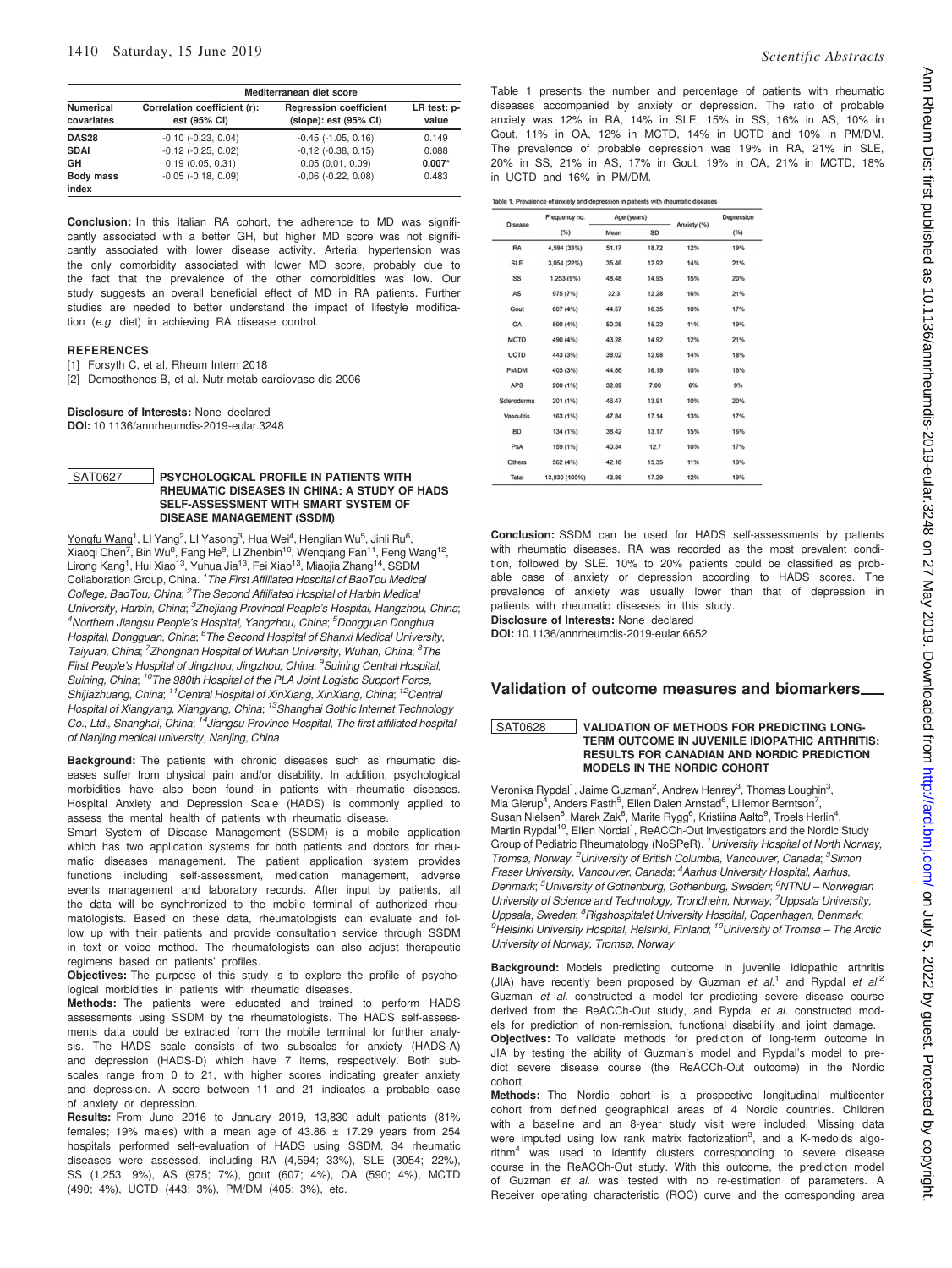|                                | Mediterranean diet score                     |                                                        |                      |  |  |  |  |
|--------------------------------|----------------------------------------------|--------------------------------------------------------|----------------------|--|--|--|--|
| <b>Numerical</b><br>covariates | Correlation coefficient (r):<br>est (95% CI) | <b>Regression coefficient</b><br>(slope): est (95% CI) | LR test: p-<br>value |  |  |  |  |
| <b>DAS28</b>                   | $-0,10$ $(-0.23, 0.04)$                      | $-0.45$ $(-1.05, 0.16)$                                | 0.149                |  |  |  |  |
| <b>SDAI</b>                    | $-0.12$ $(-0.25, 0.02)$                      | $-0.12$ $(-0.38, 0.15)$                                | 0.088                |  |  |  |  |
| GH                             | 0.19(0.05, 0.31)                             | 0.05(0.01, 0.09)                                       | $0.007*$             |  |  |  |  |
| <b>Body mass</b><br>index      | $-0.05$ $(-0.18, 0.09)$                      | $-0.06$ $(-0.22, 0.08)$                                | 0.483                |  |  |  |  |

Conclusion: In this Italian RA cohort, the adherence to MD was significantly associated with a better GH, but higher MD score was not significantly associated with lower disease activity. Arterial hypertension was the only comorbidity associated with lower MD score, probably due to the fact that the prevalence of the other comorbidities was low. Our study suggests an overall beneficial effect of MD in RA patients. Further studies are needed to better understand the impact of lifestyle modification (e.g. diet) in achieving RA disease control.

# **REFERENCES**

[1] Forsyth C, et al. Rheum Intern 2018

[2] Demosthenes B, et al. Nutr metab cardiovasc dis 2006

Disclosure of Interests: None declared

DOI: 10.1136/annrheumdis-2019-eular.3248

#### SAT0627 PSYCHOLOGICAL PROFILE IN PATIENTS WITH RHEUMATIC DISEASES IN CHINA: A STUDY OF HADS SELF-ASSESSMENT WITH SMART SYSTEM OF DISEASE MANAGEMENT (SSDM)

Yongfu Wang<sup>1</sup>, LI Yang<sup>2</sup>, LI Yasong<sup>3</sup>, Hua Wei<sup>4</sup>, Henglian Wu<sup>5</sup>, Jinli Ru<sup>6</sup>, Xiaoqi Chen<sup>7</sup>, Bin Wu<sup>8</sup>, Fang He<sup>9</sup>, LI Zhenbin<sup>10</sup>, Wenqiang Fan<sup>11</sup>, Feng Wang<sup>12</sup>, Lirong Kang<sup>1</sup>, Hui Xiao<sup>13</sup>, Yuhua Jia<sup>13</sup>, Fei Xiao<sup>13</sup>, Miaojia Zhang<sup>14</sup>, SSDM Collaboration Group, China. <sup>1</sup> The First Affiliated Hospital of BaoTou Medica College, BaoTou, China; <sup>2</sup>The Second Affiliated Hospital of Harbin Medical University, Harbin, China; <sup>3</sup>Zhejiang Provincal Peaple's Hospital, Hangzhou, China; <sup>4</sup>Northern Jiangsu People's Hospital, Yangzhou, China; <sup>5</sup>Dongguan Donghua Hospital, Dongguan, China; <sup>6</sup>The Second Hospital of Shanxi Medical University, Taiyuan, China; <sup>7</sup>Zhongnan Hospital of Wuhan University, Wuhan, China; <sup>8</sup>The First People's Hospital of Jingzhou, Jingzhou, China; <sup>9</sup>Suining Central Hospital, Suining, China; <sup>10</sup>The 980th Hospital of the PLA Joint Logistic Support Force, Shijiazhuang, China; <sup>11</sup>Central Hospital of XinXiang, XinXiang, China; <sup>12</sup>Central Hospital of Xiangyang, Xiangyang, China; 13Shanghai Gothic Internet Technology Co., Ltd., Shanghai, China; 14Jiangsu Province Hospital, The first affiliated hospital of Nanjing medical university, Nanjing, China

Background: The patients with chronic diseases such as rheumatic diseases suffer from physical pain and/or disability. In addition, psychological morbidities have also been found in patients with rheumatic diseases. Hospital Anxiety and Depression Scale (HADS) is commonly applied to assess the mental health of patients with rheumatic disease.

Smart System of Disease Management (SSDM) is a mobile application which has two application systems for both patients and doctors for rheumatic diseases management. The patient application system provides functions including self-assessment, medication management, adverse events management and laboratory records. After input by patients, all the data will be synchronized to the mobile terminal of authorized rheumatologists. Based on these data, rheumatologists can evaluate and follow up with their patients and provide consultation service through SSDM in text or voice method. The rheumatologists can also adjust therapeutic regimens based on patients' profiles.

Objectives: The purpose of this study is to explore the profile of psychological morbidities in patients with rheumatic diseases.

Methods: The patients were educated and trained to perform HADS assessments using SSDM by the rheumatologists. The HADS self-assessments data could be extracted from the mobile terminal for further analysis. The HADS scale consists of two subscales for anxiety (HADS-A) and depression (HADS-D) which have 7 items, respectively. Both subscales range from 0 to 21, with higher scores indicating greater anxiety and depression. A score between 11 and 21 indicates a probable case of anxiety or depression.

Results: From June 2016 to January 2019, 13,830 adult patients (81% females; 19% males) with a mean age of  $43.86 \pm 17.29$  years from 254 hospitals performed self-evaluation of HADS using SSDM. 34 rheumatic diseases were assessed, including RA (4,594; 33%), SLE (3054; 22%), SS (1,253, 9%), AS (975; 7%), gout (607; 4%), OA (590; 4%), MCTD (490; 4%), UCTD (443; 3%), PM/DM (405; 3%), etc.

Table 1 presents the number and percentage of patients with rheumatic diseases accompanied by anxiety or depression. The ratio of probable anxiety was 12% in RA, 14% in SLE, 15% in SS, 16% in AS, 10% in Gout, 11% in OA, 12% in MCTD, 14% in UCTD and 10% in PM/DM. The prevalence of probable depression was 19% in RA, 21% in SLE, 20% in SS, 21% in AS, 17% in Gout, 19% in OA, 21% in MCTD, 18% in UCTD and 16% in PM/DM.

|  |  |  |  |  | able 1. Prevalence of anxiety and depression in patients with rheumatic diseases |  |
|--|--|--|--|--|----------------------------------------------------------------------------------|--|
|--|--|--|--|--|----------------------------------------------------------------------------------|--|

| <b>Disease</b> | Frequency no. | Age (years) |       | Anxiety (%) | Depression<br>(% ) |  |
|----------------|---------------|-------------|-------|-------------|--------------------|--|
|                | (%)           | SD<br>Mean  |       |             |                    |  |
| <b>RA</b>      | 4,594 (33%)   | 51.17       | 18.72 | 12%         | 19%                |  |
| <b>SLE</b>     | 3,054 (22%)   | 35.46       | 12.92 | 14%         | 21%                |  |
| SS             | 1,253 (9%)    | 48.48       | 14.95 | 15%         | 20%                |  |
| AS             | 975 (7%)      | 32.3        | 12.28 | 16%         | 21%                |  |
| Gout           | 607 (4%)      | 44.57       | 16.35 | 10%         | 17%                |  |
| OA             | 590 (4%)      | 50.25       | 15.22 | 11%         | 19%                |  |
| <b>MCTD</b>    | 490 (4%)      | 43.28       | 14.92 | 12%         | 21%                |  |
| <b>UCTD</b>    | 443 (3%)      | 38.02       | 12.68 | 14%         | 18%                |  |
| PM/DM          | 405 (3%)      | 44.86       | 16.19 | 10%         | 16%                |  |
| <b>APS</b>     | 200 (1%)      | 32.89       | 7.00  | 6%          | 9%                 |  |
| Scleroderma    | 201 (1%)      | 46.47       | 13.91 | 10%         | 20%                |  |
| Vasculitis     | 163 (1%)      | 47.84       | 17.14 | 13%         | 17%                |  |
| <b>BD</b>      | 134 (1%)      | 38.42       | 13.17 | 15%         | 16%                |  |
| PsA            | 159 (1%)      | 40.34       | 12.7  | 10%         | 17%                |  |
| Others         | 562 (4%)      | 42.18       | 15.35 | 11%         | 19%                |  |
| Total          | 13.830 (100%) | 43.86       | 17.29 | 12%         | 19%                |  |

Conclusion: SSDM can be used for HADS self-assessments by patients with rheumatic diseases. RA was recorded as the most prevalent condition, followed by SLE. 10% to 20% patients could be classified as probable case of anxiety or depression according to HADS scores. The prevalence of anxiety was usually lower than that of depression in patients with rheumatic diseases in this study. Disclosure of Interests: None declared

DOI: 10.1136/annrheumdis-2019-eular.6652

# Validation of outcome measures and biomarkers

## SAT0628 VALIDATION OF METHODS FOR PREDICTING LONG-TERM OUTCOME IN JUVENILE IDIOPATHIC ARTHRITIS: RESULTS FOR CANADIAN AND NORDIC PREDICTION MODELS IN THE NORDIC COHORT

Veronika Rypdal<sup>1</sup>, Jaime Guzman<sup>2</sup>, Andrew Henrey<sup>3</sup>, Thomas Loughin<sup>3</sup>, Mia Glerup<sup>4</sup>, Anders Fasth<sup>5</sup>, Ellen Dalen Arnstad<sup>6</sup>, Lillemor Berntson<sup>7</sup>,<br>Susan Nielsen<sup>8</sup>, Marek Zak<sup>8</sup>, Marite Rygg<sup>6</sup>, Kristiina Aalto<sup>9</sup>, Troels Herlin<sup>4</sup>, Martin Rypdal<sup>10</sup>, Ellen Nordal<sup>1</sup>, ReACCh-Out Investigators and the Nordic Study Group of Pediatric Rheumatology (NoSPeR). <sup>1</sup> University Hospital of North Norway, Tromsø, Norway; <sup>2</sup>University of British Columbia, Vancouver, Canada; <sup>3</sup>Simon Fraser University, Vancouver, Canada; <sup>4</sup>Aarhus University Hospital, Aarhus, Denmark; <sup>5</sup>University of Gothenburg, Gothenburg, Sweden; <sup>6</sup>NTNU - Norwegian University of Science and Technology, Trondheim, Norway; <sup>7</sup>Uppsala University, Uppsala, Sweden; <sup>8</sup>Rigshospitalet University Hospital, Copenhagen, Denmark; <sup>9</sup>Helsinki University Hospital, Helsinki, Finland; <sup>10</sup>University of Tromsø – The Arctic University of Norway, Tromsø, Norway

Background: Models predicting outcome in juvenile idiopathic arthritis (JIA) have recently been proposed by Guzman et  $al^1$  and Rypdal et  $al^2$ Guzman et al. constructed a model for predicting severe disease course derived from the ReACCh-Out study, and Rypdal et al. constructed models for prediction of non-remission, functional disability and joint damage. Objectives: To validate methods for prediction of long-term outcome in JIA by testing the ability of Guzman's model and Rypdal's model to pre-

dict severe disease course (the ReACCh-Out outcome) in the Nordic cohort. Methods: The Nordic cohort is a prospective longitudinal multicenter

cohort from defined geographical areas of 4 Nordic countries. Children with a baseline and an 8-year study visit were included. Missing data were imputed using low rank matrix factorization<sup>3</sup>, and a K-medoids algorithm<sup>4</sup> was used to identify clusters corresponding to severe disease course in the ReACCh-Out study. With this outcome, the prediction model of Guzman et al. was tested with no re-estimation of parameters. A Receiver operating characteristic (ROC) curve and the corresponding area